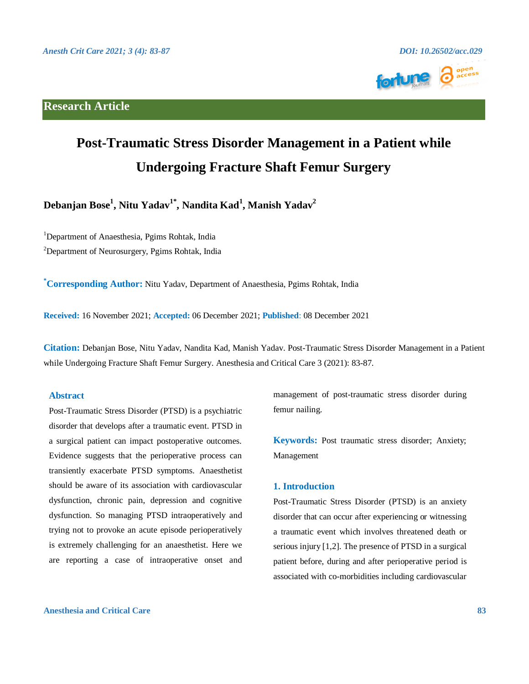## **Research Article**



# **Post-Traumatic Stress Disorder Management in a Patient while Undergoing Fracture Shaft Femur Surgery**

**Debanjan Bose<sup>1</sup> , Nitu Yadav1\* , Nandita Kad<sup>1</sup> , Manish Yadav<sup>2</sup>**

<sup>1</sup>Department of Anaesthesia, Pgims Rohtak, India

<sup>2</sup>Department of Neurosurgery, Pgims Rohtak, India

**\*Corresponding Author:** Nitu Yadav, Department of Anaesthesia, Pgims Rohtak, India

**Received:** 16 November 2021; **Accepted:** 06 December 2021; **Published**: 08 December 2021

**Citation:** Debanjan Bose, Nitu Yadav, Nandita Kad, Manish Yadav. Post-Traumatic Stress Disorder Management in a Patient while Undergoing Fracture Shaft Femur Surgery. Anesthesia and Critical Care 3 (2021): 83-87.

### **Abstract**

Post-Traumatic Stress Disorder (PTSD) is a psychiatric disorder that develops after a traumatic event. PTSD in a surgical patient can impact postoperative outcomes. Evidence suggests that the perioperative process can transiently exacerbate PTSD symptoms. Anaesthetist should be aware of its association with cardiovascular dysfunction, chronic pain, depression and cognitive dysfunction. So managing PTSD intraoperatively and trying not to provoke an acute episode perioperatively is extremely challenging for an anaesthetist. Here we are reporting a case of intraoperative onset and management of post-traumatic stress disorder during femur nailing.

**Keywords:** Post traumatic stress disorder; Anxiety; Management

### **1. Introduction**

Post-Traumatic Stress Disorder (PTSD) is an anxiety disorder that can occur after experiencing or witnessing a traumatic event which involves threatened death or serious injury [1,2]. The presence of PTSD in a surgical patient before, during and after perioperative period is associated with co-morbidities including cardiovascular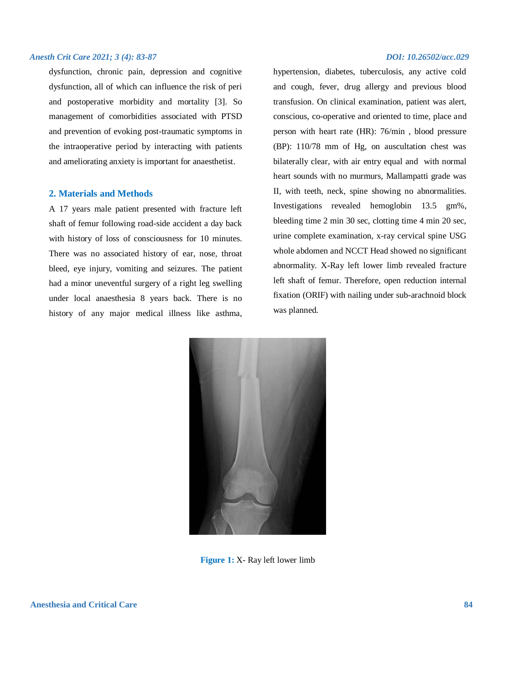dysfunction, chronic pain, depression and cognitive dysfunction, all of which can influence the risk of peri and postoperative morbidity and mortality [3]. So management of comorbidities associated with PTSD and prevention of evoking post-traumatic symptoms in the intraoperative period by interacting with patients and ameliorating anxiety is important for anaesthetist.

#### **2. Materials and Methods**

A 17 years male patient presented with fracture left shaft of femur following road-side accident a day back with history of loss of consciousness for 10 minutes. There was no associated history of ear, nose, throat bleed, eye injury, vomiting and seizures. The patient had a minor uneventful surgery of a right leg swelling under local anaesthesia 8 years back. There is no history of any major medical illness like asthma,

hypertension, diabetes, tuberculosis, any active cold and cough, fever, drug allergy and previous blood transfusion. On clinical examination, patient was alert, conscious, co-operative and oriented to time, place and person with heart rate (HR): 76/min , blood pressure (BP): 110/78 mm of Hg, on auscultation chest was bilaterally clear, with air entry equal and with normal heart sounds with no murmurs, Mallampatti grade was II, with teeth, neck, spine showing no abnormalities. Investigations revealed hemoglobin 13.5 gm%, bleeding time 2 min 30 sec, clotting time 4 min 20 sec, urine complete examination, x-ray cervical spine USG whole abdomen and NCCT Head showed no significant abnormality. X-Ray left lower limb revealed fracture left shaft of femur. Therefore, open reduction internal fixation (ORIF) with nailing under sub-arachnoid block was planned.



**Figure 1:** X- Ray left lower limb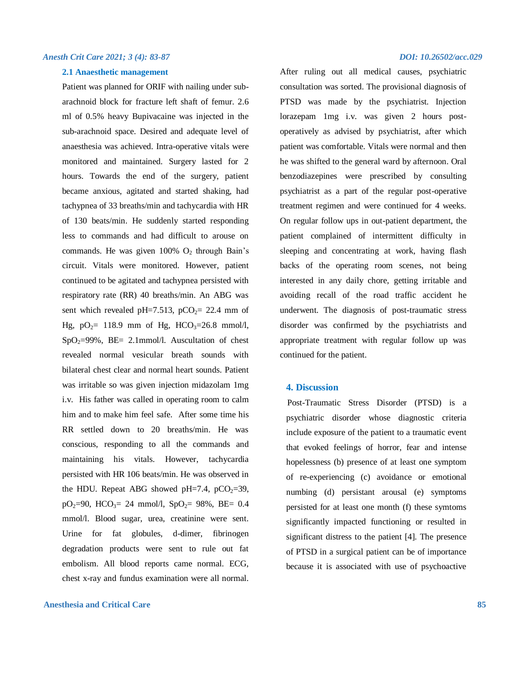#### **2.1 Anaesthetic management**

Patient was planned for ORIF with nailing under subarachnoid block for fracture left shaft of femur. 2.6 ml of 0.5% heavy Bupivacaine was injected in the sub-arachnoid space. Desired and adequate level of anaesthesia was achieved. Intra-operative vitals were monitored and maintained. Surgery lasted for 2 hours. Towards the end of the surgery, patient became anxious, agitated and started shaking, had tachypnea of 33 breaths/min and tachycardia with HR of 130 beats/min. He suddenly started responding less to commands and had difficult to arouse on commands. He was given  $100\%$  O<sub>2</sub> through Bain's circuit. Vitals were monitored. However, patient continued to be agitated and tachypnea persisted with respiratory rate (RR) 40 breaths/min. An ABG was sent which revealed pH=7.513, pCO<sub>2</sub>= 22.4 mm of Hg,  $pQ_2 = 118.9$  mm of Hg, HCO<sub>3</sub>=26.8 mmol/l,  $SpO<sub>2</sub>=99%$ ,  $BE= 2.1$ mmol/l. Auscultation of chest revealed normal vesicular breath sounds with bilateral chest clear and normal heart sounds. Patient was irritable so was given injection midazolam 1mg i.v. His father was called in operating room to calm him and to make him feel safe. After some time his RR settled down to 20 breaths/min. He was conscious, responding to all the commands and maintaining his vitals. However, tachycardia persisted with HR 106 beats/min. He was observed in the HDU. Repeat ABG showed pH=7.4,  $pCO<sub>2</sub>=39$ ,  $pO_2=90$ , HCO<sub>3</sub>= 24 mmol/l, SpO<sub>2</sub>= 98%, BE= 0.4 mmol/l. Blood sugar, urea, creatinine were sent. Urine for fat globules, d-dimer, fibrinogen degradation products were sent to rule out fat embolism. All blood reports came normal. ECG, chest x-ray and fundus examination were all normal.

#### **Anesthesia and Critical Care 85**

After ruling out all medical causes, psychiatric consultation was sorted. The provisional diagnosis of PTSD was made by the psychiatrist. Injection lorazepam 1mg i.v. was given 2 hours postoperatively as advised by psychiatrist, after which patient was comfortable. Vitals were normal and then he was shifted to the general ward by afternoon. Oral benzodiazepines were prescribed by consulting psychiatrist as a part of the regular post-operative treatment regimen and were continued for 4 weeks. On regular follow ups in out-patient department, the patient complained of intermittent difficulty in sleeping and concentrating at work, having flash backs of the operating room scenes, not being interested in any daily chore, getting irritable and avoiding recall of the road traffic accident he underwent. The diagnosis of post-traumatic stress disorder was confirmed by the psychiatrists and appropriate treatment with regular follow up was continued for the patient.

#### **4. Discussion**

 Post-Traumatic Stress Disorder (PTSD) is a psychiatric disorder whose diagnostic criteria include exposure of the patient to a traumatic event that evoked feelings of horror, fear and intense hopelessness (b) presence of at least one symptom of re-experiencing (c) avoidance or emotional numbing (d) persistant arousal (e) symptoms persisted for at least one month (f) these symtoms significantly impacted functioning or resulted in significant distress to the patient [4]. The presence of PTSD in a surgical patient can be of importance because it is associated with use of psychoactive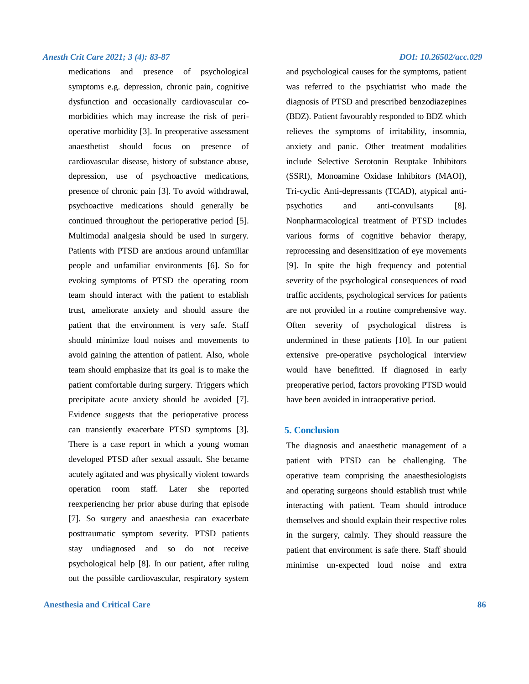medications and presence of psychological symptoms e.g. depression, chronic pain, cognitive dysfunction and occasionally cardiovascular comorbidities which may increase the risk of perioperative morbidity [3]. In preoperative assessment anaesthetist should focus on presence of cardiovascular disease, history of substance abuse, depression, use of psychoactive medications, presence of chronic pain [3]. To avoid withdrawal, psychoactive medications should generally be continued throughout the perioperative period [5]. Multimodal analgesia should be used in surgery. Patients with PTSD are anxious around unfamiliar people and unfamiliar environments [6]. So for evoking symptoms of PTSD the operating room team should interact with the patient to establish trust, ameliorate anxiety and should assure the patient that the environment is very safe. Staff should minimize loud noises and movements to avoid gaining the attention of patient. Also, whole team should emphasize that its goal is to make the patient comfortable during surgery. Triggers which precipitate acute anxiety should be avoided [7]. Evidence suggests that the perioperative process can transiently exacerbate PTSD symptoms [3]. There is a case report in which a young woman developed PTSD after sexual assault. She became acutely agitated and was physically violent towards operation room staff. Later she reported reexperiencing her prior abuse during that episode [7]. So surgery and anaesthesia can exacerbate posttraumatic symptom severity. PTSD patients stay undiagnosed and so do not receive psychological help [8]. In our patient, after ruling out the possible cardiovascular, respiratory system

#### **Anesthesia and Critical Care 86**

and psychological causes for the symptoms, patient was referred to the psychiatrist who made the diagnosis of PTSD and prescribed benzodiazepines (BDZ). Patient favourably responded to BDZ which relieves the symptoms of irritability, insomnia, anxiety and panic. Other treatment modalities include Selective Serotonin Reuptake Inhibitors (SSRI), Monoamine Oxidase Inhibitors (MAOI), Tri-cyclic Anti-depressants (TCAD), atypical antipsychotics and anti-convulsants [8]. Nonpharmacological treatment of PTSD includes various forms of cognitive behavior therapy, reprocessing and desensitization of eye movements [9]. In spite the high frequency and potential severity of the psychological consequences of road traffic accidents, psychological services for patients are not provided in a routine comprehensive way. Often severity of psychological distress is undermined in these patients [10]. In our patient extensive pre-operative psychological interview would have benefitted. If diagnosed in early preoperative period, factors provoking PTSD would have been avoided in intraoperative period.

#### **5. Conclusion**

The diagnosis and anaesthetic management of a patient with PTSD can be challenging. The operative team comprising the anaesthesiologists and operating surgeons should establish trust while interacting with patient. Team should introduce themselves and should explain their respective roles in the surgery, calmly. They should reassure the patient that environment is safe there. Staff should minimise un-expected loud noise and extra